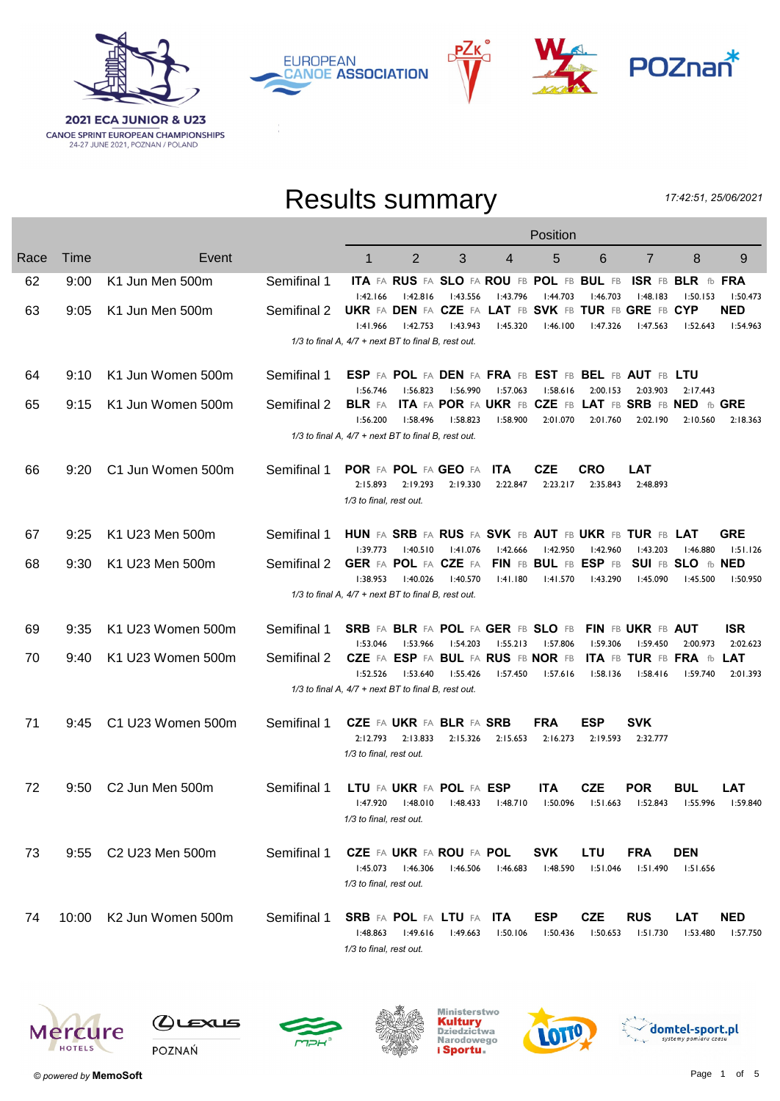





## Results summary

17:42:51, 25/06/2021

|      |       |                               |             | Position                                                                     |                                                            |                      |                        |                                                                         |                             |                                                     |                                           |                             |  |  |
|------|-------|-------------------------------|-------------|------------------------------------------------------------------------------|------------------------------------------------------------|----------------------|------------------------|-------------------------------------------------------------------------|-----------------------------|-----------------------------------------------------|-------------------------------------------|-----------------------------|--|--|
| Race | Time  | Event                         |             | 1                                                                            | $\overline{2}$                                             | 3                    | 4                      | 5                                                                       | 6                           | $\overline{7}$                                      | 8                                         | 9                           |  |  |
| 62   | 9:00  | K1 Jun Men 500m               | Semifinal 1 |                                                                              |                                                            |                      |                        | ITA FA RUS FA SLO FA ROU FB POL FB BUL FB                               | 1:46.703                    | 1:48.183                                            | ISR FB BLR fb FRA                         |                             |  |  |
| 63   | 9:05  | K1 Jun Men 500m               | Semifinal 2 | 1:42.166<br>UKR FA DEN FA CZE FA LAT FB SVK FB TUR FB GRE FB CYP<br>1:41.966 | 1:42.816<br>1:42.753                                       | 1:43.556<br>1:43.943 | I:43.796<br>1:45.320   | 1:44.703<br>1:46.100                                                    | l:47.326                    | 1:47.563                                            | 1:50.153<br>1:52.643                      | 1:50.473<br>NED<br>1:54.963 |  |  |
|      |       |                               |             | 1/3 to final A, 4/7 + next BT to final B, rest out.                          |                                                            |                      |                        |                                                                         |                             |                                                     |                                           |                             |  |  |
| 64   | 9:10  | K1 Jun Women 500m             | Semifinal 1 | 1:56.746                                                                     | 1:56.823                                                   | I:56.990             | 1:57.063               | ESP FA POL FA DEN FA FRA FB EST FB BEL FB AUT FB LTU<br>1:58.616        | 2:00.153                    | 2:03.903                                            | 2:17.443                                  |                             |  |  |
| 65   | 9:15  | K1 Jun Women 500m             | Semifinal 2 | 1:56.200                                                                     | 1:58.496                                                   | l:58.823             | 1:58.900               | BLR FA ITA FA POR FA UKR FB CZE FB LAT FB SRB FB NED fb GRE<br>2:01.070 | 2:01.760                    | 2:02.190                                            | 2:10.560                                  | 2:18.363                    |  |  |
|      |       |                               |             | 1/3 to final A, 4/7 + next BT to final B, rest out.                          |                                                            |                      |                        |                                                                         |                             |                                                     |                                           |                             |  |  |
| 66   | 9:20  | C1 Jun Women 500m             | Semifinal 1 | POR FA POL FA GEO FA<br>2:15.893                                             | 2:19.293                                                   | 2:19.330             | <b>ITA</b><br>2:22.847 | <b>CZE</b><br>2:23.217                                                  | <b>CRO</b><br>2:35.843      | LAT<br>2:48.893                                     |                                           |                             |  |  |
|      |       |                               |             | 1/3 to final, rest out.                                                      |                                                            |                      |                        |                                                                         |                             |                                                     |                                           |                             |  |  |
| 67   | 9:25  | K1 U23 Men 500m               | Semifinal 1 | HUN FA SRB FA RUS FA SVK FB AUT FB UKR FB TUR FB LAT                         |                                                            |                      |                        | 1:42.950                                                                |                             |                                                     |                                           | GRE                         |  |  |
| 68   | 9:30  | K1 U23 Men 500m               | Semifinal 2 | 1:39.773<br>GER FA POL FA CZE FA<br>1:38.953                                 | 1:40.510<br>1:40.026                                       | 1:41.076<br>l:40.570 | 1:42.666<br>1:41.180   | FIN FB BUL FB ESP FB<br>1:41.570                                        | l:42.960<br>l:43.290        | 1:43.203<br>1:45.090                                | I:46.880<br>SUI FB SLO fb NED<br>l:45.500 | 1:51.126<br>1:50.950        |  |  |
|      |       |                               |             | 1/3 to final A, 4/7 + next BT to final B, rest out.                          |                                                            |                      |                        |                                                                         |                             |                                                     |                                           |                             |  |  |
| 69   | 9:35  | K1 U23 Women 500m             | Semifinal 1 | SRB FA BLR FA POL FA GER FB SLO FB FIN FB UKR FB AUT                         |                                                            |                      |                        |                                                                         |                             |                                                     |                                           | <b>ISR</b>                  |  |  |
| 70   | 9:40  | K1 U23 Women 500m             | Semifinal 2 | 1:53.046<br>1:52.526                                                         | I:53.966<br>CZE FA ESP FA BUL FA RUS FB NOR FB<br>1:53.640 | 1:54.203<br>1:55.426 | 1:55.213<br>1:57.450   | 1:57.806<br>1:57.616                                                    | <b>1:59.306</b><br>1:58.136 | 1:59.450<br><b>ITA FB TUR FB FRA fb</b><br>1:58.416 | 2:00.973<br>l:59.740                      | 2:02.623<br>LAT<br>2:01.393 |  |  |
|      |       |                               |             | 1/3 to final A, 4/7 + next BT to final B, rest out.                          |                                                            |                      |                        |                                                                         |                             |                                                     |                                           |                             |  |  |
| 71   | 9:45  | C1 U23 Women 500m             | Semifinal 1 | 2:12.793                                                                     | <b>CZE</b> FA UKR FA BLR FA SRB<br>2:13.833                | 2:15.326             | 2:15.653               | <b>FRA</b><br>2:16.273                                                  | <b>ESP</b><br>2:19.593      | <b>SVK</b><br>2:32.777                              |                                           |                             |  |  |
|      |       |                               |             | 1/3 to final, rest out.                                                      |                                                            |                      |                        |                                                                         |                             |                                                     |                                           |                             |  |  |
| 72   | 9:50  | C <sub>2</sub> Jun Men 500m   | Semifinal 1 | l:47.920<br>1/3 to final, rest out.                                          | LTU FA UKR FA POL FA ESP<br>1:48.010                       | 1:48.433             | 1:48.710               | <b>ITA</b><br>1:50.096                                                  | <b>CZE</b><br>1:51.663      | POR<br>1:52.843                                     | BUL<br>1:55.996                           | LAT<br>1:59.840             |  |  |
|      |       |                               |             |                                                                              |                                                            |                      |                        |                                                                         |                             |                                                     |                                           |                             |  |  |
| 73   | 9:55  | C2 U23 Men 500m               | Semifinal 1 | 1:45.073<br>1/3 to final, rest out.                                          | CZE FA UKR FA ROU FA POL<br>l:46.306                       | 1:46.506             | l:46.683               | <b>SVK</b><br>1:48.590                                                  | LTU<br>1:51.046             | FRA<br>1:51.490                                     | <b>DEN</b><br>1:51.656                    |                             |  |  |
| 74   | 10:00 | K <sub>2</sub> Jun Women 500m | Semifinal 1 |                                                                              | <b>SRB</b> FA POL FA LTU FA                                |                      | <b>ITA</b>             | <b>ESP</b>                                                              | <b>CZE</b>                  | <b>RUS</b>                                          | LAT                                       | <b>NED</b>                  |  |  |
|      |       |                               |             | 1:48.863<br>1/3 to final, rest out.                                          | 1:49.616                                                   | 1:49.663             | 1:50.106               | 1:50.436                                                                | 1:50.653                    | 1:51.730                                            | 1:53.480                                  | I:57.750                    |  |  |













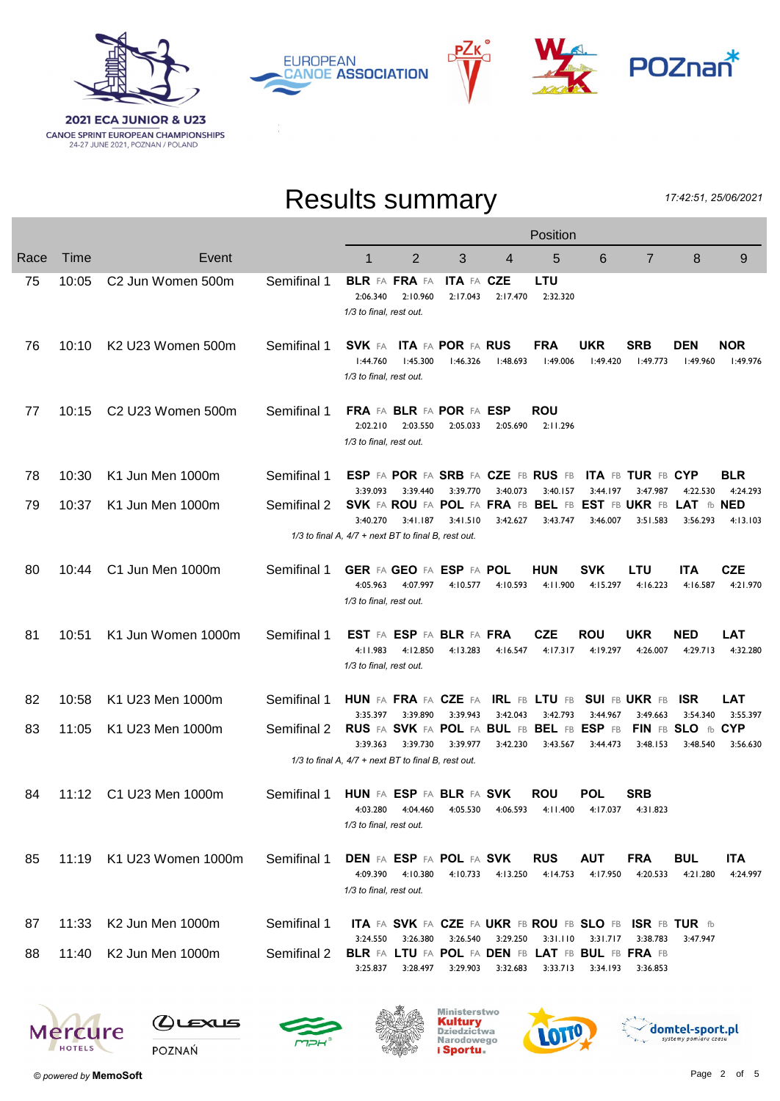

**EUROPEAN CANOE ASSOCIATION** 



# Results summary

РΖк

17:42:51, 25/06/2021

|      |       |                                           |             | Position                                                               |                                             |                        |          |                                                                     |                        |                        |                                                                                     |                        |  |  |
|------|-------|-------------------------------------------|-------------|------------------------------------------------------------------------|---------------------------------------------|------------------------|----------|---------------------------------------------------------------------|------------------------|------------------------|-------------------------------------------------------------------------------------|------------------------|--|--|
| Race | Time  | Event                                     |             | 1                                                                      | 2                                           | 3                      | 4        | 5                                                                   | 6                      | $\overline{7}$         | 8                                                                                   | 9                      |  |  |
| 75   | 10:05 | C2 Jun Women 500m                         | Semifinal 1 | BLR FA FRA FA<br>2:06.340<br>1/3 to final, rest out.                   | 2:10.960                                    | ITA FA CZE<br>2:17.043 | 2:17.470 | LTU<br>2:32.320                                                     |                        |                        |                                                                                     |                        |  |  |
| 76   | 10:10 | K <sub>2</sub> U <sub>23</sub> Women 500m | Semifinal 1 | 1:44.760<br>1/3 to final, rest out.                                    | SVK FA ITA FA POR FA RUS<br>1:45.300        | 1:46.326               | 1:48.693 | <b>FRA</b><br>1:49.006                                              | UKR<br>1:49.420        | SRB<br>1:49.773        | <b>DEN</b><br>1:49.960                                                              | <b>NOR</b><br>l:49.976 |  |  |
| 77   | 10:15 | C <sub>2</sub> U <sub>23</sub> Women 500m | Semifinal 1 | 2:02.210<br>1/3 to final, rest out.                                    | FRA FA BLR FA POR FA ESP<br>2:03.550        | 2:05.033               | 2:05.690 | ROU<br>2:11.296                                                     |                        |                        |                                                                                     |                        |  |  |
| 78   | 10:30 | K1 Jun Men 1000m                          | Semifinal 1 |                                                                        |                                             |                        | 3:40.073 | <b>ESP FA POR FA SRB FA CZE FB RUS FB</b>                           |                        | ITA FB TUR FB CYP      |                                                                                     | <b>BLR</b>             |  |  |
| 79   | 10:37 | K1 Jun Men 1000m                          | Semifinal 2 | 3:39.093<br>3:40.270                                                   | 3:39.440<br>3:41.187                        | 3:39.770<br>3:41.510   | 3:42.627 | 3:40.157<br>3:43.747                                                | 3:44.197<br>3:46.007   | 3:47.987<br>3:51.583   | 4:22.530<br>SVK FA ROU FA POL FA FRA FB BEL FB EST FB UKR FB LAT tb NED<br>3:56.293 | 4:24.293<br>4:13.103   |  |  |
|      |       |                                           |             | 1/3 to final A, 4/7 + next BT to final B, rest out.                    |                                             |                        |          |                                                                     |                        |                        |                                                                                     |                        |  |  |
| 80   | 10:44 | C1 Jun Men 1000m                          | Semifinal 1 | 4:05.963<br>1/3 to final, rest out.                                    | GER FA GEO FA ESP FA POL<br>4:07.997        | 4:10.577               | 4:10.593 | <b>HUN</b><br>4:11.900                                              | <b>SVK</b><br>4:15.297 | LTU<br>4:16.223        | <b>ITA</b><br>4:16.587                                                              | CZE<br>4:21.970        |  |  |
| 81   | 10:51 | K1 Jun Women 1000m                        | Semifinal 1 | 4:11.983<br>1/3 to final, rest out.                                    | EST FA ESP FA BLR FA FRA<br>4:12.850        | 4:13.283               | 4:16.547 | <b>CZE</b><br>4:17.317                                              | <b>ROU</b><br>4:19.297 | <b>UKR</b><br>4:26.007 | <b>NED</b><br>4:29.713                                                              | LAT<br>4:32.280        |  |  |
| 82   | 10:58 | K1 U23 Men 1000m                          | Semifinal 1 |                                                                        |                                             |                        |          | HUN FA FRA FA CZE FA IRL FB LTU FB SUI FB UKR FB                    |                        |                        | - ISR                                                                               | LAT                    |  |  |
| 83   | 11:05 | K1 U23 Men 1000m                          | Semifinal 2 | 3:35.397<br>3:39.363                                                   | 3:39.890<br>3:39.730                        | 3:39.943<br>3:39.977   | 3:42.043 | 3:42.793<br>RUS FA SVK FA POL FA BUL FB BEL FB ESP FB<br>3:43.567   | 3:44.967               | 3:49.663<br>3:48.153   | 3:54.340<br>FIN FB SLO fb CYP<br>3:48.540                                           | 3:55.397               |  |  |
|      |       |                                           |             | 1/3 to final A, 4/7 + next BT to final B, rest out.                    |                                             |                        | 3:42.230 |                                                                     | 3:44.473               |                        |                                                                                     | 3:56.630               |  |  |
| 84   | 11:12 | C1 U23 Men 1000m                          | Semifinal 1 | <b>HUN FA ESP FA BLR FA SVK</b><br>4:03.280<br>1/3 to final, rest out. | 4:04.460                                    | 4:05.530               | 4:06.593 | <b>ROU</b><br>4:11.400                                              | <b>POL</b><br>4:17.037 | <b>SRB</b><br>4:31.823 |                                                                                     |                        |  |  |
| 85   | 11:19 | K1 U23 Women 1000m                        | Semifinal 1 | 4:09.390<br>1/3 to final, rest out.                                    | <b>DEN FA ESP FA POL FA SVK</b><br>4:10.380 | 4:10.733               | 4:13.250 | <b>RUS</b><br>4:14.753                                              | <b>AUT</b><br>4:17.950 | <b>FRA</b><br>4:20.533 | <b>BUL</b><br>4:21.280                                                              | <b>ITA</b><br>4:24.997 |  |  |
| 87   | 11:33 | K2 Jun Men 1000m                          | Semifinal 1 | 3:24.550                                                               | 3:26.380                                    | 3:26.540               | 3:29.250 | ITA FA SVK FA CZE FA UKR FB ROU FB SLO FB ISR FB TUR fb<br>3:31.110 |                        | 3:38.783               |                                                                                     |                        |  |  |
| 88   | 11:40 | K2 Jun Men 1000m                          | Semifinal 2 | 3:25.837                                                               | 3:28.497                                    | 3:29.903               | 3:32.683 | BLR FA LTU FA POL FA DEN FB LAT FB BUL FB FRA FB<br>3:33.713        | 3:31.717<br>3:34.193   | 3:36.853               | 3:47.947                                                                            |                        |  |  |
|      |       |                                           |             |                                                                        |                                             |                        |          |                                                                     |                        |                        |                                                                                     |                        |  |  |













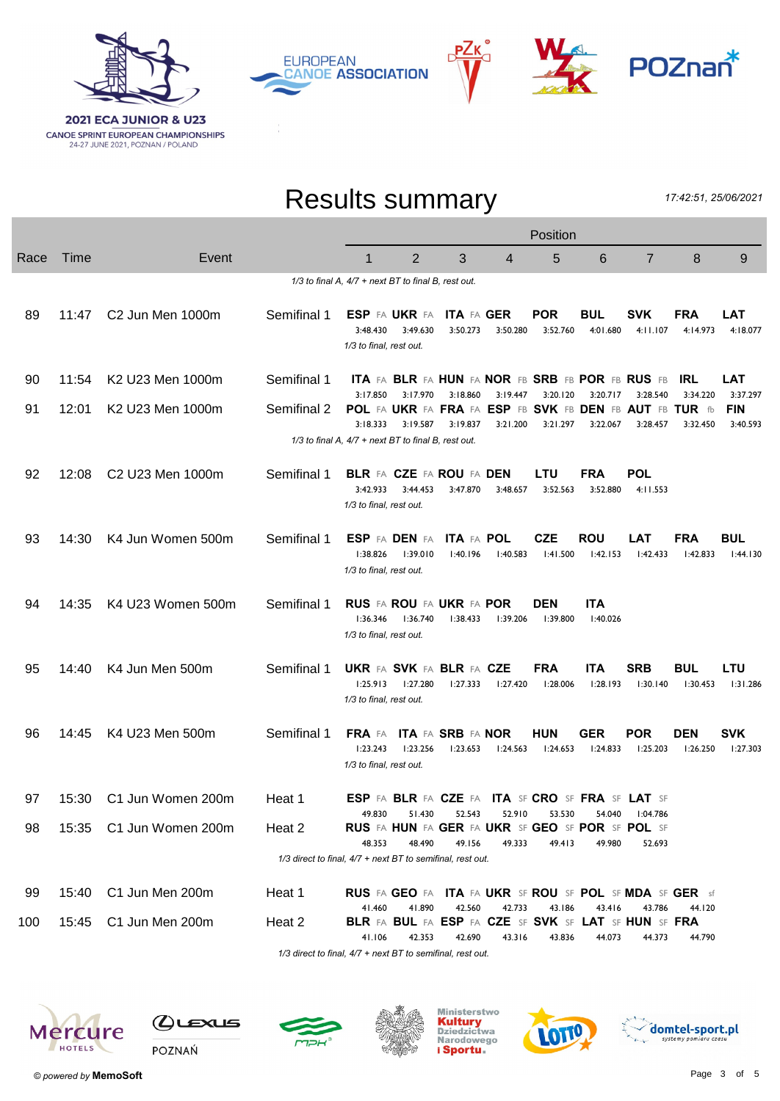





## Results summary

17:42:51, 25/06/2021

|      |       |                              | Position                                                   |                                                                        |                                             |                                      |                      |                        |                                                                             |                                                                                 |                        |                                    |  |
|------|-------|------------------------------|------------------------------------------------------------|------------------------------------------------------------------------|---------------------------------------------|--------------------------------------|----------------------|------------------------|-----------------------------------------------------------------------------|---------------------------------------------------------------------------------|------------------------|------------------------------------|--|
| Race | Time  | Event                        |                                                            | 1                                                                      | $\overline{2}$                              | 3                                    | 4                    | 5                      | 6                                                                           | $\overline{7}$                                                                  | 8                      | 9                                  |  |
|      |       |                              |                                                            | $1/3$ to final A, $4/7$ + next BT to final B, rest out.                |                                             |                                      |                      |                        |                                                                             |                                                                                 |                        |                                    |  |
| 89   | 11:47 | C <sub>2</sub> Jun Men 1000m | Semifinal 1                                                | 3:48.430<br>1/3 to final, rest out.                                    | ESP FA UKR FA<br>3:49.630                   | <b>ITA FA GER</b><br>3:50.273        | 3:50.280             | <b>POR</b><br>3:52.760 | <b>BUL</b><br>4:01.680                                                      | <b>SVK</b><br>4:11.107                                                          | <b>FRA</b><br>4:14.973 | LAT<br>4:18.077                    |  |
| 90   | 11:54 | K2 U23 Men 1000m             | Semifinal 1                                                |                                                                        |                                             |                                      |                      |                        | <b>ITA FA BLR FA HUN FA NOR FB SRB FB POR FB RUS FB</b>                     |                                                                                 | IRL.                   | LAT                                |  |
| 91   | 12:01 | K2 U23 Men 1000m             | Semifinal 2                                                | 3:17.850<br>3:18.333                                                   | 3:17.970<br>3:19.587                        | 3:18.860<br>3:19.837                 | 3:19.447<br>3:21.200 | 3:20.120<br>3:21.297   | 3:20.717<br>3:22.067                                                        | 3:28.540<br>POL FA UKR FA FRA FA ESP FB SVK FB DEN FB AUT FB TUR fb<br>3:28.457 | 3:34.220<br>3:32.450   | 3:37.297<br><b>FIN</b><br>3:40.593 |  |
|      |       |                              |                                                            | $1/3$ to final A, $4/7$ + next BT to final B, rest out.                |                                             |                                      |                      |                        |                                                                             |                                                                                 |                        |                                    |  |
| 92   | 12:08 | C2 U23 Men 1000m             | Semifinal 1                                                | 3:42.933<br>1/3 to final, rest out.                                    | <b>BLR FA CZE FA ROU FA DEN</b><br>3:44.453 | 3:47.870                             | 3:48.657             | LTU<br>3:52.563        | FRA<br>3:52.880                                                             | POL<br>4:11.553                                                                 |                        |                                    |  |
| 93   | 14:30 | K4 Jun Women 500m            | Semifinal 1                                                | 1:38.826<br>1/3 to final, rest out.                                    | <b>ESP FA DEN FA</b><br>1:39.010            | <b>ITA FA POL</b><br>l:40.196        | 1:40.583             | <b>CZE</b><br>1:41.500 | <b>ROU</b><br>1:42.153                                                      | <b>LAT</b><br>1:42.433                                                          | <b>FRA</b><br>1:42.833 | <b>BUL</b><br>1:44.130             |  |
| 94   | 14:35 | K4 U23 Women 500m            | Semifinal 1                                                | 1:36.346<br>1/3 to final, rest out.                                    | <b>RUS FA ROU FA UKR FA POR</b><br>l:36.740 | 1:38.433                             | 1:39.206             | <b>DEN</b><br>1:39.800 | <b>ITA</b><br>1:40.026                                                      |                                                                                 |                        |                                    |  |
| 95   | 14:40 | K4 Jun Men 500m              | Semifinal 1                                                | <b>UKR FA SVK FA BLR FA CZE</b><br>1:25.913<br>1/3 to final, rest out. | l:27.280                                    | 1:27.333                             | 1:27.420             | <b>FRA</b><br>l:28.006 | <b>ITA</b><br>1:28.193                                                      | <b>SRB</b><br>1:30.140                                                          | <b>BUL</b><br>l:30.453 | LTU<br>1:31.286                    |  |
| 96   | 14:45 | K4 U23 Men 500m              | Semifinal 1                                                | FRA FA<br>1:23.243<br>1/3 to final, rest out.                          | 1:23.256                                    | <b>ITA FA SRB FA NOR</b><br>1:23.653 | 1:24.563             | <b>HUN</b><br>1:24.653 | GER<br>1:24.833                                                             | <b>POR</b><br>1:25.203                                                          | <b>DEN</b><br>1:26.250 | <b>SVK</b><br>1:27.303             |  |
| 97   | 15:30 | C1 Jun Women 200m            | Heat 1                                                     |                                                                        |                                             |                                      |                      |                        | <b>ESP FA BLR FA CZE FA ITA SF CRO SF FRA SF LAT SF</b>                     |                                                                                 |                        |                                    |  |
| 98   | 15:35 | C1 Jun Women 200m            | Heat 2                                                     | 49.830<br>48.353                                                       | 51.430<br>48.490                            | 52.543<br>49.156                     | 52.910<br>49.333     | 53.530<br>49.413       | 54.040<br><b>RUS</b> FA HUN FA GER FA UKR SF GEO SF POR SF POL SF<br>49.980 | 04.786: ا<br>52.693                                                             |                        |                                    |  |
|      |       |                              | 1/3 direct to final, 4/7 + next BT to semifinal, rest out. |                                                                        |                                             |                                      |                      |                        |                                                                             |                                                                                 |                        |                                    |  |
| 99   | 15:40 | C1 Jun Men 200m              | Heat 1                                                     |                                                                        |                                             |                                      |                      |                        |                                                                             | RUS FA GEO FA ITA FA UKR SF ROU SF POL SF MDA SF GER sf                         |                        |                                    |  |
| 100  | 15:45 | C1 Jun Men 200m              | Heat 2                                                     | 41.460<br>41.106                                                       | 41.890<br>42.353                            | 42.560<br>42.690                     | 42.733<br>43.316     | 43.186<br>43.836       | 43.416<br>44.073                                                            | 43.786<br>BLR FA BUL FA ESP FA CZE SF SVK SF LAT SF HUN SF FRA<br>44.373        | 44.120<br>44.790       |                                    |  |
|      |       |                              |                                                            |                                                                        |                                             |                                      |                      |                        |                                                                             |                                                                                 |                        |                                    |  |

1/3 direct to final,  $4/7$  + next BT to semifinal, rest out.









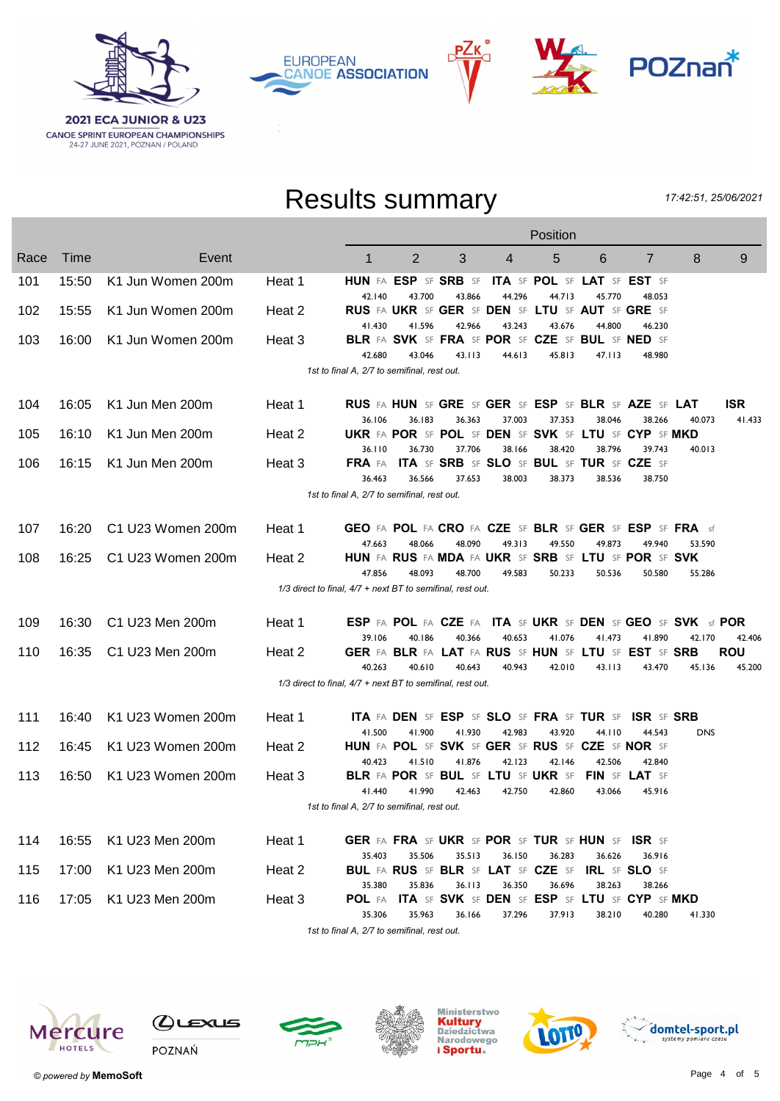





# Results summary

17:42:51, 25/06/2021

|      |       |                   |        |                                                                      |                                                                   |        |        | Position                    |        |                                                                    |            |                      |
|------|-------|-------------------|--------|----------------------------------------------------------------------|-------------------------------------------------------------------|--------|--------|-----------------------------|--------|--------------------------------------------------------------------|------------|----------------------|
| Race | Time  | Event             |        | 1                                                                    | $\overline{2}$                                                    | 3      | 4      | 5                           | 6      | $\overline{7}$                                                     | 8          | 9                    |
| 101  | 15:50 | K1 Jun Women 200m | Heat 1 |                                                                      | HUN FA ESP SF SRB SF                                              |        |        | ITA SF POL SF LAT SF EST SF |        |                                                                    |            |                      |
| 102  | 15:55 | K1 Jun Women 200m | Heat 2 | 42.140                                                               | 43.700<br><b>RUS FA UKR SF GER SF DEN SF LTU SF AUT SF GRE SF</b> | 43.866 | 44.296 | 44.713                      | 45.770 | 48.053                                                             |            |                      |
|      |       |                   |        | 41.430                                                               | 41.596                                                            | 42.966 | 43.243 | 43.676                      | 44.800 | 46.230                                                             |            |                      |
| 103  | 16:00 | K1 Jun Women 200m | Heat 3 |                                                                      | BLR FA SVK SF FRA SF POR SF CZE SF BUL SF NED SF                  |        |        |                             |        |                                                                    |            |                      |
|      |       |                   |        | 42.680                                                               | 43.046                                                            | 43.113 | 44.613 | 45.813                      | 47.113 | 48.980                                                             |            |                      |
|      |       |                   |        | 1st to final A, 2/7 to semifinal, rest out.                          |                                                                   |        |        |                             |        |                                                                    |            |                      |
| 104  | 16:05 | K1 Jun Men 200m   | Heat 1 |                                                                      |                                                                   |        |        |                             |        | RUS FA HUN SF GRE SF GER SF ESP SF BLR SF AZE SF LAT               |            | <b>ISR</b>           |
|      |       |                   |        | 36.106                                                               | 36.183                                                            | 36.363 | 37.003 | 37.353                      | 38.046 | 38.266                                                             | 40.073     | 41.433               |
| 105  | 16:10 | K1 Jun Men 200m   | Heat 2 |                                                                      |                                                                   |        |        |                             |        | UKR FA POR SF POL SF DEN SF SVK SF LTU SF CYP SF MKD               |            |                      |
| 106  | 16:15 | K1 Jun Men 200m   | Heat 3 | 36.110                                                               | 36.730<br>FRA FA ITA SF SRB SF SLO SF BUL SF TUR SF CZE SF        | 37.706 | 38.166 | 38.420                      | 38.796 | 39.743                                                             | 40.013     |                      |
|      |       |                   |        | 36.463                                                               | 36.566                                                            | 37.653 | 38.003 | 38.373                      | 38.536 | 38.750                                                             |            |                      |
|      |       |                   |        | 1st to final A, 2/7 to semifinal, rest out.                          |                                                                   |        |        |                             |        |                                                                    |            |                      |
| 107  | 16:20 | C1 U23 Women 200m | Heat 1 |                                                                      |                                                                   |        |        |                             |        | GEO FA POL FA CRO FA CZE SF BLR SF GER SF ESP SF FRA sf            |            |                      |
|      |       |                   |        | 47.663                                                               | 48.066                                                            | 48.090 | 49.313 | 49.550                      | 49.873 | 49.940                                                             | 53.590     |                      |
| 108  | 16:25 | C1 U23 Women 200m | Heat 2 |                                                                      |                                                                   |        |        |                             |        | HUN FA RUS FA MDA FA UKR SF SRB SF LTU SF POR SF SVK               |            |                      |
|      |       |                   |        | 47.856<br>1/3 direct to final, 4/7 + next BT to semifinal, rest out. | 48.093                                                            | 48.700 | 49.583 | 50.233                      | 50.536 | 50.580                                                             | 55.286     |                      |
|      |       |                   |        |                                                                      |                                                                   |        |        |                             |        |                                                                    |            |                      |
| 109  | 16:30 | C1 U23 Men 200m   | Heat 1 |                                                                      |                                                                   |        |        |                             |        | <b>ESP FA POL FA CZE FA ITA SF UKR SF DEN SF GEO SF SVK sf POR</b> |            |                      |
| 110  | 16:35 | C1 U23 Men 200m   | Heat 2 | 39.106                                                               | 40.186                                                            | 40.366 | 40.653 | 41.076                      | 41.473 | 41.890<br>GER FA BLR FA LAT FA RUS SF HUN SF LTU SF EST SF SRB     | 42.170     | 42.406<br><b>ROU</b> |
|      |       |                   |        | 40.263                                                               | 40.610                                                            | 40.643 | 40.943 | 42.010                      | 43.113 | 43.470                                                             | 45.136     | 45.200               |
|      |       |                   |        | 1/3 direct to final, 4/7 + next BT to semifinal, rest out.           |                                                                   |        |        |                             |        |                                                                    |            |                      |
| 111  | 16:40 | K1 U23 Women 200m | Heat 1 |                                                                      | ITA FA DEN SF ESP SF SLO SF FRA SF TUR SF                         |        |        |                             |        | <b>ISR SF SRB</b>                                                  |            |                      |
|      |       |                   |        | 41.500                                                               | 41.900                                                            | 41.930 | 42.983 | 43.920                      | 44.110 | 44.543                                                             | <b>DNS</b> |                      |
| 112  | 16:45 | K1 U23 Women 200m | Heat 2 |                                                                      | HUN FA POL SF SVK SF GER SF RUS SF CZE SF NOR SF                  |        |        |                             |        |                                                                    |            |                      |
| 113  | 16:50 | K1 U23 Women 200m | Heat 3 | 40.423                                                               | 41.510<br>BLR FA POR SF BUL SF LTU SF UKR SF                      | 41.876 | 42.123 | 42.146                      | 42.506 | 42.840<br>FIN SF LAT SF                                            |            |                      |
|      |       |                   |        | 41,440                                                               | 41.990                                                            | 42.463 | 42.750 | 42.860                      | 43.066 | 45.916                                                             |            |                      |
|      |       |                   |        | 1st to final A, 2/7 to semifinal, rest out.                          |                                                                   |        |        |                             |        |                                                                    |            |                      |
| 114  | 16:55 | K1 U23 Men 200m   | Heat 1 |                                                                      | GER FA FRA SF UKR SF POR SF TUR SF HUN SF ISR SF                  |        |        |                             |        |                                                                    |            |                      |
|      |       |                   |        | 35.403                                                               | 35.506                                                            | 35.513 | 36.150 | 36.283                      | 36.626 | 36.916                                                             |            |                      |
| 115  | 17:00 | K1 U23 Men 200m   | Heat 2 |                                                                      | <b>BUL FA RUS SF BLR SF LAT SF CZE SF</b>                         |        |        |                             |        | <b>IRL SF SLO SF</b>                                               |            |                      |
| 116  | 17:05 | K1 U23 Men 200m   | Heat 3 | 35.380                                                               | 35.836                                                            | 36.113 | 36.350 | 36.696                      | 38.263 | 38.266<br>POL FA ITA SF SVK SF DEN SF ESP SF LTU SF CYP SF MKD     |            |                      |
|      |       |                   |        | 35.306                                                               | 35.963                                                            | 36.166 | 37.296 | 37.913                      | 38.210 | 40.280                                                             | 41.330     |                      |
|      |       |                   |        |                                                                      | $2/7$ is somiliar                                                 |        |        |                             |        |                                                                    |            |                      |

1st to final A, 2/7 to semifinal, rest out.